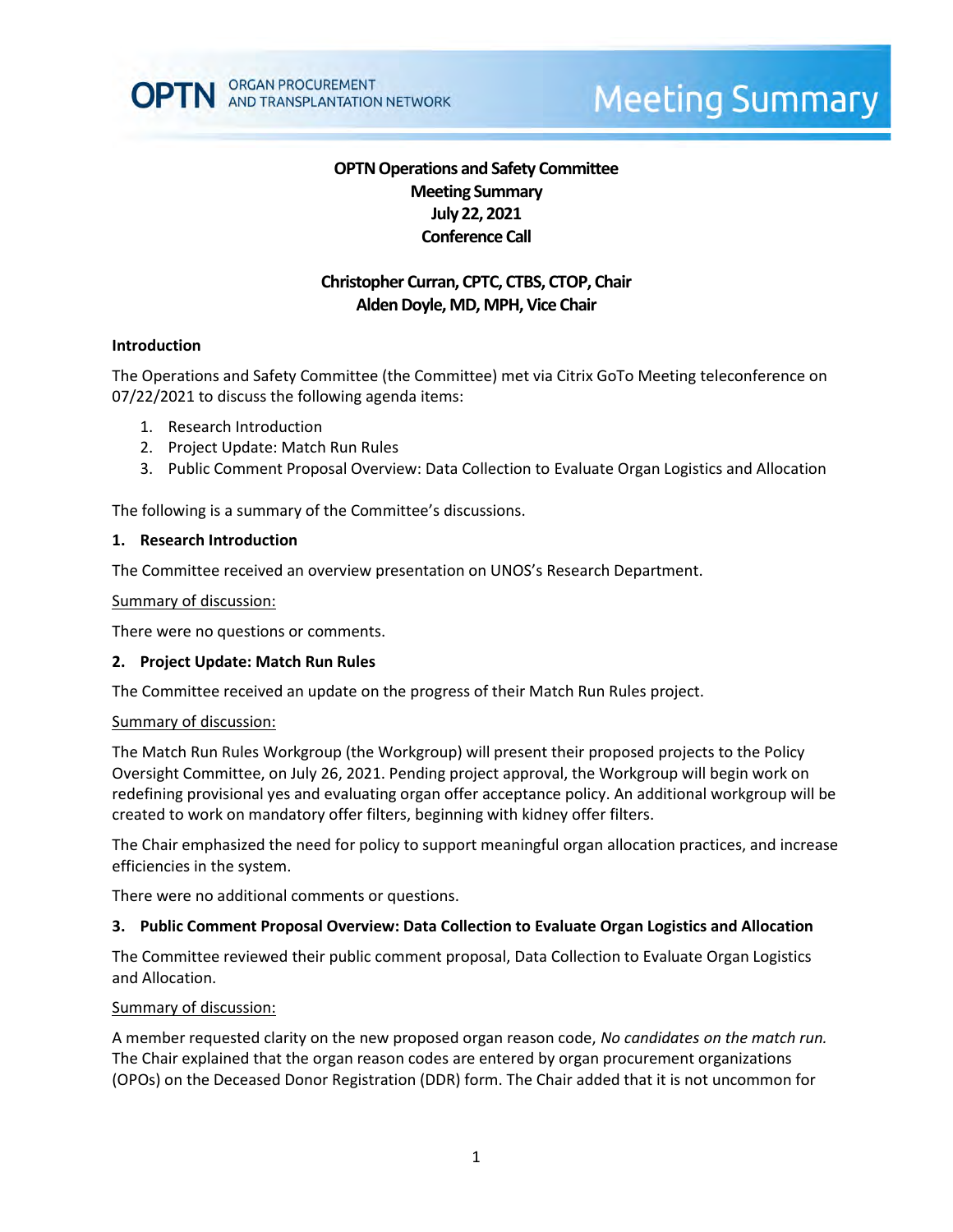

# **Meeting Summary**

# **OPTN Operations and Safety Committee Meeting Summary July 22, 2021 Conference Call**

# **Christopher Curran, CPTC, CTBS, CTOP, Chair Alden Doyle, MD, MPH, Vice Chair**

### **Introduction**

The Operations and Safety Committee (the Committee) met via Citrix GoTo Meeting teleconference on 07/22/2021 to discuss the following agenda items:

- 1. Research Introduction
- 2. Project Update: Match Run Rules
- 3. Public Comment Proposal Overview: Data Collection to Evaluate Organ Logistics and Allocation

The following is a summary of the Committee's discussions.

#### **1. Research Introduction**

The Committee received an overview presentation on UNOS's Research Department.

#### Summary of discussion:

There were no questions or comments.

#### **2. Project Update: Match Run Rules**

The Committee received an update on the progress of their Match Run Rules project.

#### Summary of discussion:

The Match Run Rules Workgroup (the Workgroup) will present their proposed projects to the Policy Oversight Committee, on July 26, 2021. Pending project approval, the Workgroup will begin work on redefining provisional yes and evaluating organ offer acceptance policy. An additional workgroup will be created to work on mandatory offer filters, beginning with kidney offer filters.

The Chair emphasized the need for policy to support meaningful organ allocation practices, and increase efficiencies in the system.

There were no additional comments or questions.

#### **3. Public Comment Proposal Overview: Data Collection to Evaluate Organ Logistics and Allocation**

The Committee reviewed their public comment proposal, Data Collection to Evaluate Organ Logistics and Allocation.

#### Summary of discussion:

A member requested clarity on the new proposed organ reason code, *No candidates on the match run.*  The Chair explained that the organ reason codes are entered by organ procurement organizations (OPOs) on the Deceased Donor Registration (DDR) form. The Chair added that it is not uncommon for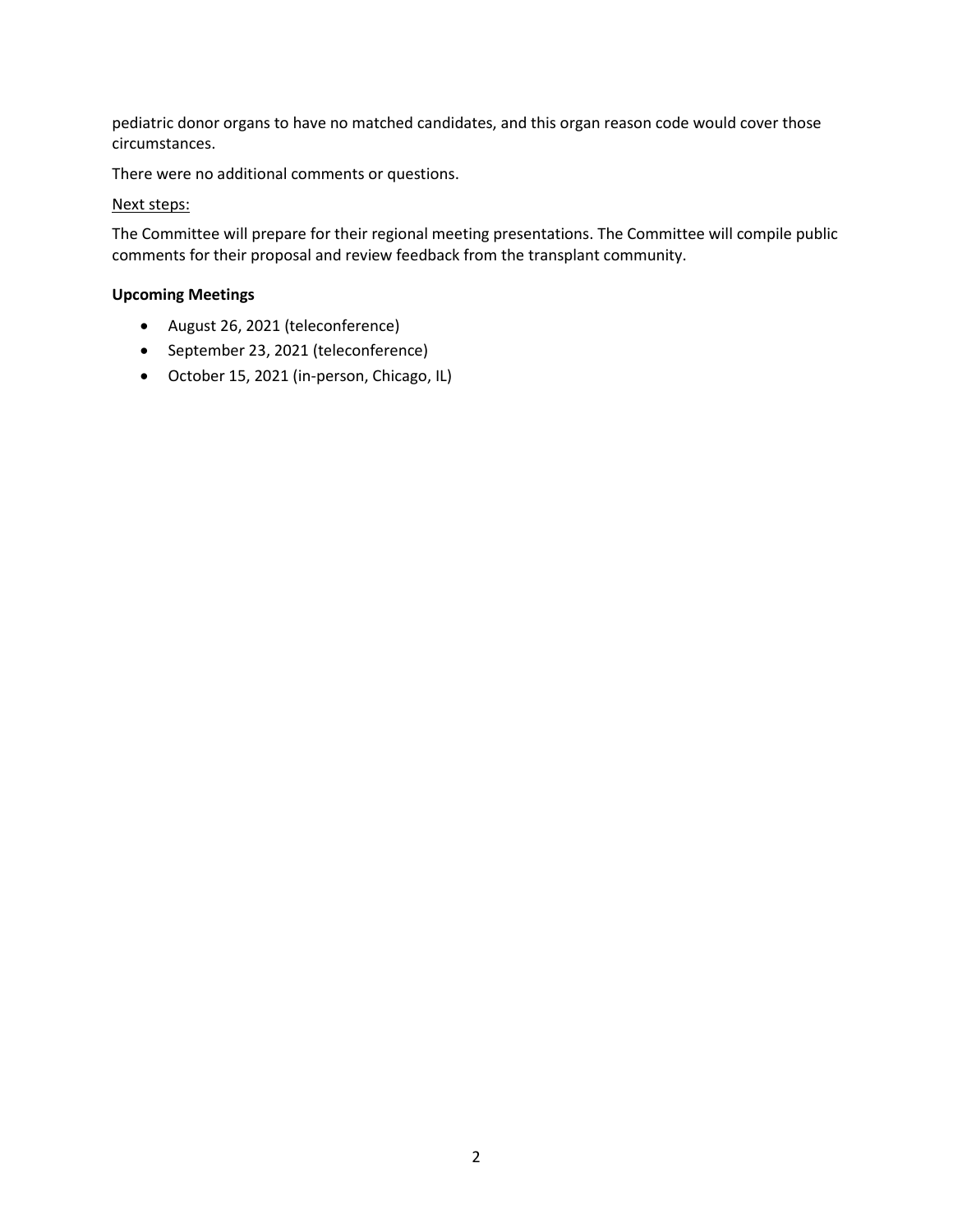pediatric donor organs to have no matched candidates, and this organ reason code would cover those circumstances.

There were no additional comments or questions.

## Next steps:

The Committee will prepare for their regional meeting presentations. The Committee will compile public comments for their proposal and review feedback from the transplant community.

## **Upcoming Meetings**

- August 26, 2021 (teleconference)
- September 23, 2021 (teleconference)
- October 15, 2021 (in-person, Chicago, IL)